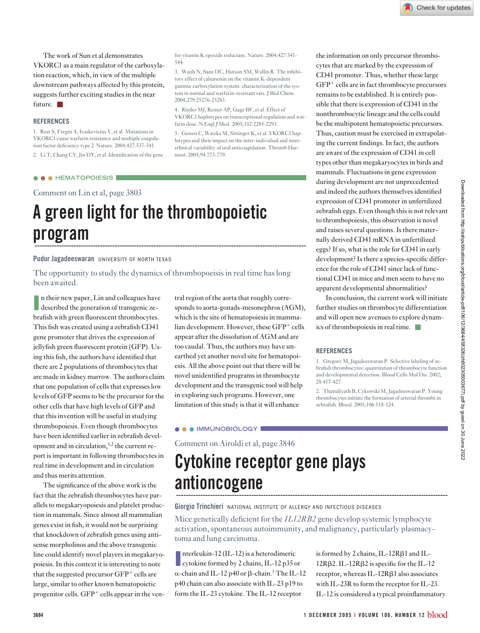The work of Sun et al demonstrates VKORC1 as a main regulator of the carboxylation reaction, which, in view of the multiple downstream pathways affected by this protein, suggests further exciting studies in the near future. ■

#### **REFERENCES**

1. Rost S, Fregin A, Ivaskevicius V, et al. Mutations in VKORC1 cause warfarin resistance and multiple coagulation factor deficiency type 2. Nature. 2004;427:537-541. 2. Li T, Chang CY, Jin DY, et al. Identification of the gene

### ● ● ● **HEMATOPOIESIS**

Comment on Lin et al, page 3803

# **A green light for the thrombopoietic** program

#### **Pudur Jagadeeswaran** UNIVERSITY OF NORTH TEXAS

The opportunity to study the dynamics of thrombopoeisis in real time has long been awaited.

In their new paper, Lin and colleagues have described the generation of transgenic zen their new paper, Lin and colleagues have brafish with green fluorescent thrombocytes. This fish was created using a zebrafish CD41 gene promoter that drives the expression of jellyfish green fluorescent protein (GFP). Using this fish, the authors have identified that there are 2 populations of thrombocytes that are made in kidney marrow. The authors claim that one population of cells that expresses low levels of GFP seems to be the precursor for the other cells that have high levels of GFP and that this invention will be useful in studying thrombopoiesis. Even though thrombocytes have been identified earlier in zebrafish development and in circulation,<sup>1,2</sup> the current report is important in following thrombocytes in real time in development and in circulation and thus merits attention.

The significance of the above work is the fact that the zebrafish thrombocytes have parallels to megakaryopoiesis and platelet production in mammals. Since almost all mammalian genes exist in fish, it would not be surprising that knockdown of zebrafish genes using antisense morpholinos and the above transgenic line could identify novel players in megakaryopoiesis. In this context it is interesting to note that the suggested precursor  $GFP^+$  cells are large, similar to other known hematopoietic progenitor cells. GFP<sup>+</sup> cells appear in the ventral region of the aorta that roughly corresponds to aorta-gonads-mesonephros (AGM), which is the site of hematopoiesis in mammalian development. However, these GFP<sup>+</sup> cells appear after the dissolution of AGM and are too caudal. Thus, the authors may have unearthed yet another novel site for hematopoiesis. All the above point out that there will be novel unidentified programs in thrombocyte development and the transgenic tool will help in exploring such programs. However, one limitation of this study is that it will enhance

for vitamin K epoxide reductase. Nature. 2004;427:541-

3. Wajih N, Sane DC, Hutson SM, Wallin R. The inhibitory effect of calumenin on the vitamin K-dependent gamma-carboxylation system: characterization of the system in normal and warfarin-resistant rats. J Biol Chem.

4. Rieder MJ, Reiner AP, Gage BF, et al. Effect of VKORC1 haplotypes on transcriptional regulation and warfarin dose. N Engl J Med. 2005;352:2285-2293. 5. Geisen C, Watzka M, Sittinger K, et al. VKORC1 haplotypes and their impact on the inter-individual and interethnical variability of oral anticoagulation. Thromb Hae-

544.

2004;279:25276-25283.

most. 2005;94:773-779.

# ● ● ● **IMMUNOBIOLOGY**

Comment on Airoldi et al, page 3846

# **Cytokine receptor gene plays antioncogene ----------------------------------------------------------------------------------------------------------------**

**Giorgio Trinchieri** NATIONAL INSTITUTE OF ALLERGY AND INFECTIOUS DISEASES

Mice genetically deficient for the *IL12RB2* gene develop systemic lymphocyte activation, spontaneous autoimmunity, and malignancy, particularly plasmacytoma and lung carcinoma.

Interleukin-12 (IL-12) is a heterodimeric<br>cytokine formed by 2 chains, IL-12 p35 or nterleukin-12 (IL-12) is a heterodimeric  $\alpha$ -chain and IL-12 p40 or  $\beta$ -chain.<sup>1</sup> The IL-12 p40 chain can also associate with IL-23 p19 to form the IL-23 cytokine. The IL-12 receptor

the information on only precursor thrombocytes that are marked by the expression of CD41 promoter. Thus, whether these large  $GFP<sup>+</sup>$  cells are in fact thrombocyte precursors remains to be established. It is entirely possible that there is expression of CD41 in the nonthrombocytic lineage and the cells could be the multipotent hematopoietic precursors. Thus, caution must be exercised in extrapolating the current findings. In fact, the authors are aware of the expression of CD41 in cell types other than megakaryocytes in birds and mammals. Fluctuations in gene expression during development are not unprecedented and indeed the authors themselves identified expression of CD41 promoter in unfertilized zebrafish eggs. Even though this is not relevant to thrombopoiesis, this observation is novel and raises several questions. Is there maternally derived CD41 mRNA in unfertilized eggs? If so, what is the role for CD41 in early development? Is there a species-specific difference for the role of CD41 since lack of functional CD41 in mice and men seem to have no apparent developmental abnormalities?

In conclusion, the current work will initiate further studies on thrombocyte differentiation and will open new avenues to explore dynamics of thrombopoiesis in real time. ■

### **REFERENCES**

1. Gregory M, Jagadeeswaran P. Selective labeling of zebrafish thrombocytes: quantitation of thrombocyte function and developmental detection. Blood Cells Mol Dis. 2002; 28:417-427.

2. Thattaliyath B, Cykowski M, Jagadeeswaran P. Young thrombocytes initiate the formation of arterial thrombi in zebrafish. Blood. 2005;106:118-124.

### **<sup>3684</sup> 1 DECEMBER 2005 <sup>I</sup> VOLUME 106, NUMBER 12** blood

is formed by 2 chains,  $IL-12R\beta1$  and  $IL 12R\beta$ 2. IL- $12R\beta$ 2 is specific for the IL- $12$ receptor, whereas IL-12R $\beta$ 1 also associates with IL-23R to form the receptor for IL-23. IL-12 is considered a typical proinflammatory